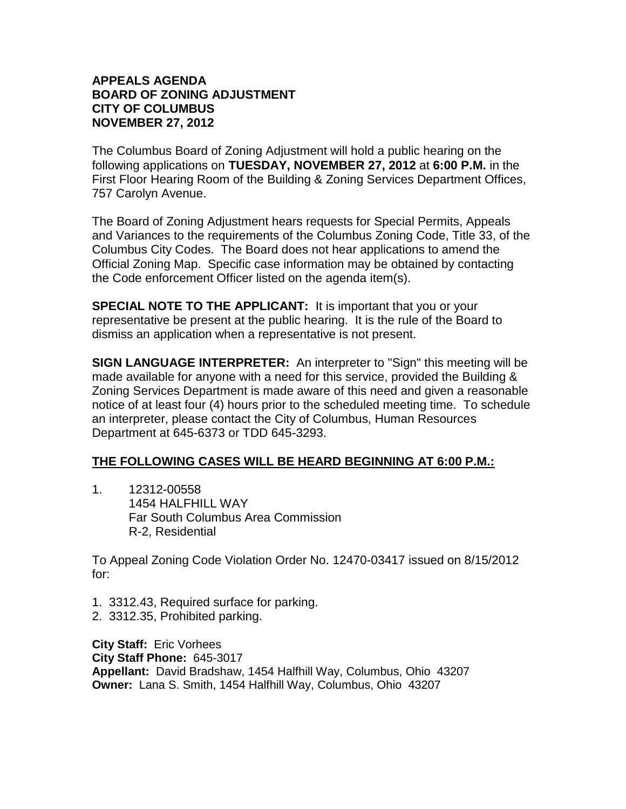## **APPEALS AGENDA BOARD OF ZONING ADJUSTMENT CITY OF COLUMBUS NOVEMBER 27, 2012**

The Columbus Board of Zoning Adjustment will hold a public hearing on the following applications on **TUESDAY, NOVEMBER 27, 2012** at **6:00 P.M.** in the First Floor Hearing Room of the Building & Zoning Services Department Offices, 757 Carolyn Avenue.

The Board of Zoning Adjustment hears requests for Special Permits, Appeals and Variances to the requirements of the Columbus Zoning Code, Title 33, of the Columbus City Codes. The Board does not hear applications to amend the Official Zoning Map. Specific case information may be obtained by contacting the Code enforcement Officer listed on the agenda item(s).

**SPECIAL NOTE TO THE APPLICANT:** It is important that you or your representative be present at the public hearing. It is the rule of the Board to dismiss an application when a representative is not present.

**SIGN LANGUAGE INTERPRETER:** An interpreter to "Sign" this meeting will be made available for anyone with a need for this service, provided the Building & Zoning Services Department is made aware of this need and given a reasonable notice of at least four (4) hours prior to the scheduled meeting time. To schedule an interpreter, please contact the City of Columbus, Human Resources Department at 645-6373 or TDD 645-3293.

## **THE FOLLOWING CASES WILL BE HEARD BEGINNING AT 6:00 P.M.:**

1. 12312-00558 1454 HALFHILL WAY Far South Columbus Area Commission R-2, Residential

To Appeal Zoning Code Violation Order No. 12470-03417 issued on 8/15/2012 for:

- 1. 3312.43, Required surface for parking.
- 2. 3312.35, Prohibited parking.

**City Staff:** Eric Vorhees **City Staff Phone:** 645-3017 **Appellant:** David Bradshaw, 1454 Halfhill Way, Columbus, Ohio 43207 **Owner:** Lana S. Smith, 1454 Halfhill Way, Columbus, Ohio 43207